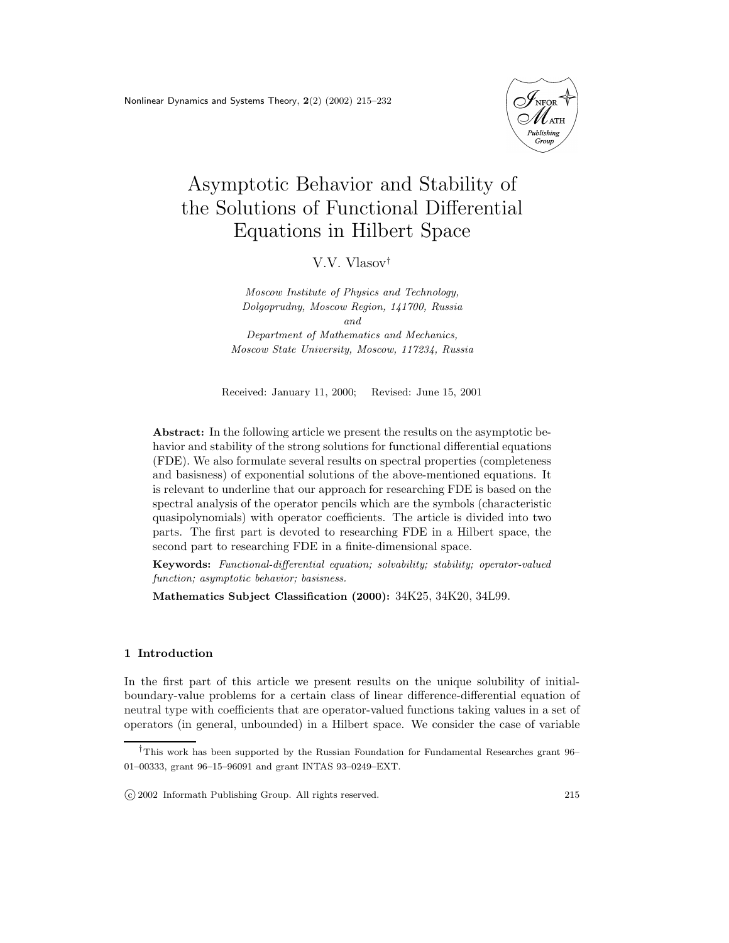

# Asymptotic Behavior and Stability of the Solutions of Functional Differential Equations in Hilbert Space

V.V. Vlasov†

Moscow Institute of Physics and Technology, Dolgoprudny, Moscow Region, 141700, Russia and

Department of Mathematics and Mechanics, Moscow State University, Moscow, 117234, Russia

Received: January 11, 2000; Revised: June 15, 2001

Abstract: In the following article we present the results on the asymptotic behavior and stability of the strong solutions for functional differential equations (FDE). We also formulate several results on spectral properties (completeness and basisness) of exponential solutions of the above-mentioned equations. It is relevant to underline that our approach for researching FDE is based on the spectral analysis of the operator pencils which are the symbols (characteristic quasipolynomials) with operator coefficients. The article is divided into two parts. The first part is devoted to researching FDE in a Hilbert space, the second part to researching FDE in a finite-dimensional space.

Keywords: Functional-differential equation; solvability; stability; operator-valued function; asymptotic behavior; basisness.

Mathematics Subject Classification (2000): 34K25, 34K20, 34L99.

# 1 Introduction

In the first part of this article we present results on the unique solubility of initialboundary-value problems for a certain class of linear difference-differential equation of neutral type with coefficients that are operator-valued functions taking values in a set of operators (in general, unbounded) in a Hilbert space. We consider the case of variable

<sup>†</sup>This work has been supported by the Russian Foundation for Fundamental Researches grant 96– 01–00333, grant 96–15–96091 and grant INTAS 93–0249–EXT.

c 2002 Informath Publishing Group. All rights reserved. 215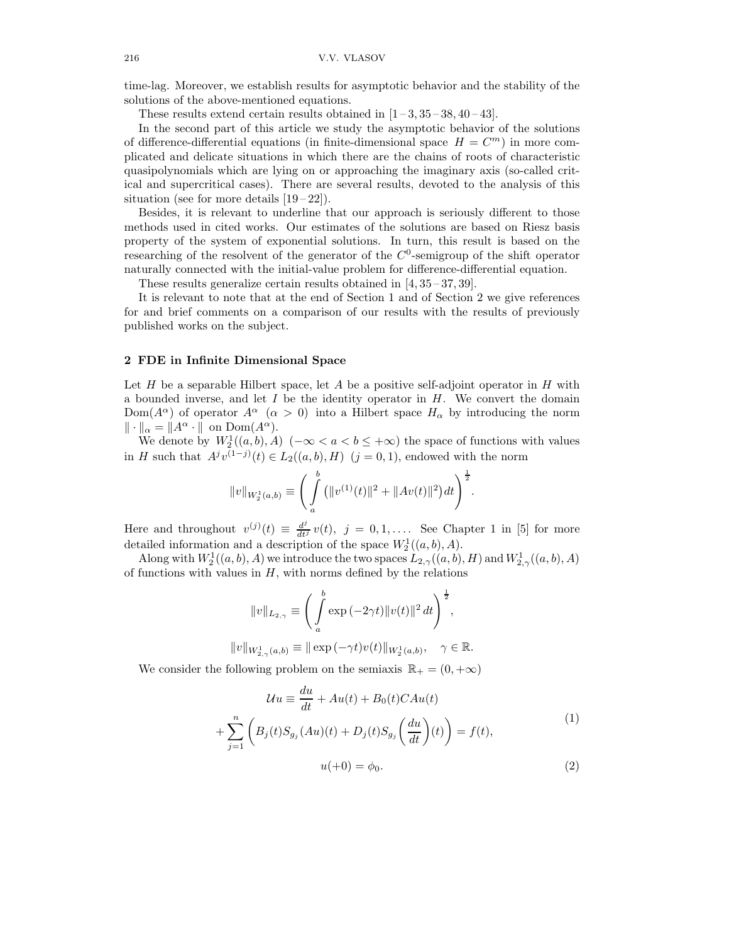time-lag. Moreover, we establish results for asymptotic behavior and the stability of the solutions of the above-mentioned equations.

These results extend certain results obtained in  $[1-3, 35-38, 40-43]$ .

In the second part of this article we study the asymptotic behavior of the solutions of difference-differential equations (in finite-dimensional space  $H = C<sup>m</sup>$ ) in more complicated and delicate situations in which there are the chains of roots of characteristic quasipolynomials which are lying on or approaching the imaginary axis (so-called critical and supercritical cases). There are several results, devoted to the analysis of this situation (see for more details [19–22]).

Besides, it is relevant to underline that our approach is seriously different to those methods used in cited works. Our estimates of the solutions are based on Riesz basis property of the system of exponential solutions. In turn, this result is based on the researching of the resolvent of the generator of the  $C<sup>0</sup>$ -semigroup of the shift operator naturally connected with the initial-value problem for difference-differential equation.

These results generalize certain results obtained in [4, 35 –37,39].

It is relevant to note that at the end of Section 1 and of Section 2 we give references for and brief comments on a comparison of our results with the results of previously published works on the subject.

#### 2 FDE in Infinite Dimensional Space

Let  $H$  be a separable Hilbert space, let  $A$  be a positive self-adjoint operator in  $H$  with a bounded inverse, and let  $I$  be the identity operator in  $H$ . We convert the domain Dom( $A^{\alpha}$ ) of operator  $A^{\alpha}$  ( $\alpha > 0$ ) into a Hilbert space  $H_{\alpha}$  by introducing the norm  $\|\cdot\|_{\alpha} = \|A^{\alpha} \cdot \|$  on  $\text{Dom}(A^{\alpha})$ .

We denote by  $W_2^1((a, b), A)$   $(-\infty < a < b \leq +\infty)$  the space of functions with values in H such that  $A^jv^{(1-j)}(t) \in L_2((a, b), H)$   $(j = 0, 1)$ , endowed with the norm

$$
||v||_{W_2^1(a,b)} \equiv \left(\int_a^b (||v^{(1)}(t)||^2 + ||Av(t)||^2) dt\right)^{\frac{1}{2}}.
$$

Here and throughout  $v^{(j)}(t) \equiv \frac{d^j}{dt^j} v(t)$ ,  $j = 0, 1, \ldots$ . See Chapter 1 in [5] for more detailed information and a description of the space  $W_2^1((a, b), A)$ .

Along with  $W_2^1((a, b), A)$  we introduce the two spaces  $L_{2, \gamma}((a, b), H)$  and  $W_{2, \gamma}^1((a, b), A)$ of functions with values in  $H$ , with norms defined by the relations

$$
||v||_{L_{2,\gamma}} \equiv \left(\int_a^b \exp(-2\gamma t) ||v(t)||^2 dt\right)^{\frac{1}{2}},
$$

 $||v||_{W_{2,\gamma}^1(a,b)} \equiv ||\exp(-\gamma t)v(t)||_{W_2^1(a,b)}, \quad \gamma \in \mathbb{R}.$ 

We consider the following problem on the semiaxis  $\mathbb{R}_+ = (0, +\infty)$ 

$$
\mathcal{U}u \equiv \frac{du}{dt} + Au(t) + B_0(t)CAu(t)
$$

$$
+ \sum_{j=1}^{n} \left( B_j(t)S_{g_j}(Au)(t) + D_j(t)S_{g_j}\left(\frac{du}{dt}\right)(t) \right) = f(t),
$$

$$
u(+0) = \phi_0.
$$

$$
(2)
$$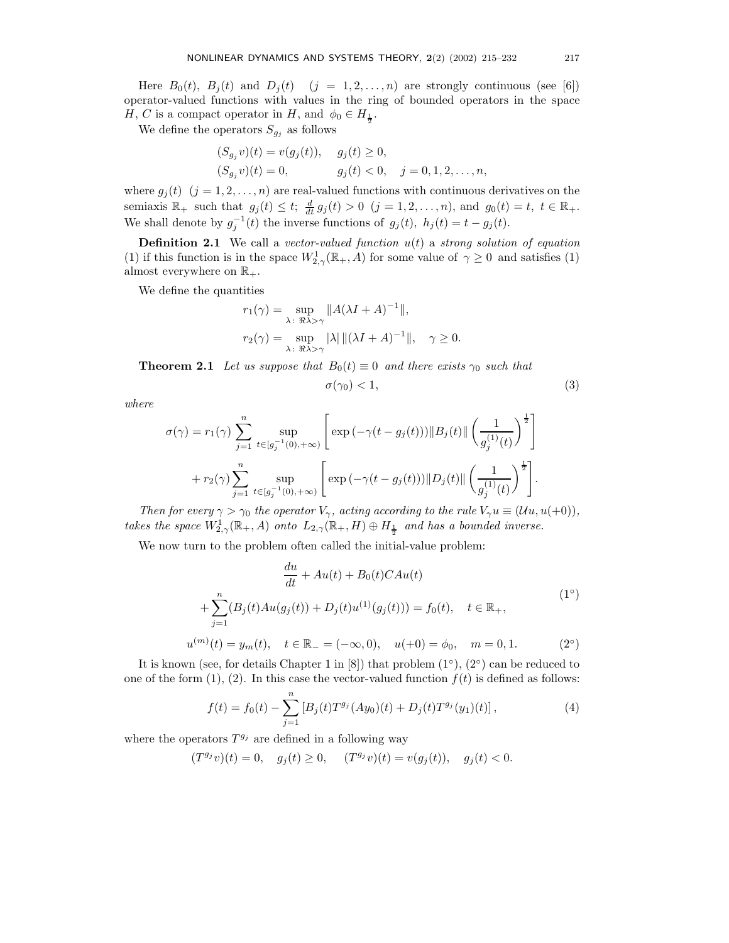Here  $B_0(t)$ ,  $B_j(t)$  and  $D_j(t)$   $(j = 1, 2, ..., n)$  are strongly continuous (see [6]) operator-valued functions with values in the ring of bounded operators in the space H, C is a compact operator in H, and  $\phi_0 \in H_{\frac{1}{2}}$ .

We define the operators  $S_{g_j}$  as follows

$$
(S_{g_j}v)(t) = v(g_j(t)), \t g_j(t) \ge 0,(S_{g_j}v)(t) = 0, \t g_j(t) < 0, \t j = 0, 1, 2, ..., n,
$$

where  $g_j(t)$   $(j = 1, 2, ..., n)$  are real-valued functions with continuous derivatives on the semiaxis  $\mathbb{R}_+$  such that  $g_j(t) \leq t$ ;  $\frac{d}{dt} g_j(t) > 0$   $(j = 1, 2, ..., n)$ , and  $g_0(t) = t$ ,  $t \in \mathbb{R}_+$ . We shall denote by  $g_j^{-1}(t)$  the inverse functions of  $g_j(t)$ ,  $h_j(t) = t - g_j(t)$ .

**Definition 2.1** We call a vector-valued function  $u(t)$  a strong solution of equation (1) if this function is in the space  $W^1_{2,\gamma}(\mathbb{R}_+, A)$  for some value of  $\gamma \geq 0$  and satisfies (1) almost everywhere on  $\mathbb{R}_+$ .

We define the quantities

$$
r_1(\gamma) = \sup_{\lambda \colon \Re \lambda > \gamma} \|A(\lambda I + A)^{-1}\|,
$$
  

$$
r_2(\gamma) = \sup_{\lambda \colon \Re \lambda > \gamma} |\lambda| \|(\lambda I + A)^{-1}\|, \quad \gamma \ge 0.
$$

**Theorem 2.1** Let us suppose that  $B_0(t) \equiv 0$  and there exists  $\gamma_0$  such that

$$
\sigma(\gamma_0) < 1,\tag{3}
$$

where

$$
\sigma(\gamma) = r_1(\gamma) \sum_{j=1}^n \sup_{t \in [g_j^{-1}(0), +\infty)} \left[ \exp(-\gamma(t - g_j(t))) \|B_j(t)\| \left( \frac{1}{g_j^{(1)}(t)} \right)^{\frac{1}{2}} \right] + r_2(\gamma) \sum_{j=1}^n \sup_{t \in [g_j^{-1}(0), +\infty)} \left[ \exp(-\gamma(t - g_j(t))) \|D_j(t)\| \left( \frac{1}{g_j^{(1)}(t)} \right)^{\frac{1}{2}} \right].
$$

Then for every  $\gamma > \gamma_0$  the operator  $V_{\gamma}$ , acting according to the rule  $V_{\gamma}u \equiv (\mathcal{U}u, u(+0)),$ takes the space  $W^1_{2,\gamma}(\mathbb{R}_+, A)$  onto  $L_{2,\gamma}(\mathbb{R}_+, H) \oplus H_{\frac{1}{2}}$  and has a bounded inverse.

We now turn to the problem often called the initial-value problem:

$$
\frac{du}{dt} + Au(t) + B_0(t)CAu(t)
$$
  
+
$$
\sum_{j=1}^{n} (B_j(t)Au(g_j(t)) + D_j(t)u^{(1)}(g_j(t))) = f_0(t), \quad t \in \mathbb{R}_+,
$$
  

$$
u^{(m)}(t) = y_m(t), \quad t \in \mathbb{R}_- = (-\infty, 0), \quad u(+0) = \phi_0, \quad m = 0, 1.
$$
 (2°)

It is known (see, for details Chapter 1 in  $[8]$ ) that problem  $(1^{\circ})$ ,  $(2^{\circ})$  can be reduced to one of the form  $(1), (2)$ . In this case the vector-valued function  $f(t)$  is defined as follows:

$$
f(t) = f_0(t) - \sum_{j=1}^{n} \left[ B_j(t) T^{g_j}(Ay_0)(t) + D_j(t) T^{g_j}(y_1)(t) \right],
$$
\n(4)

where the operators  $T^{g_j}$  are defined in a following way

 $(T^{g_j}v)(t) = 0, \quad g_j(t) \ge 0, \quad (T^{g_j}v)(t) = v(g_j(t)), \quad g_j(t) < 0.$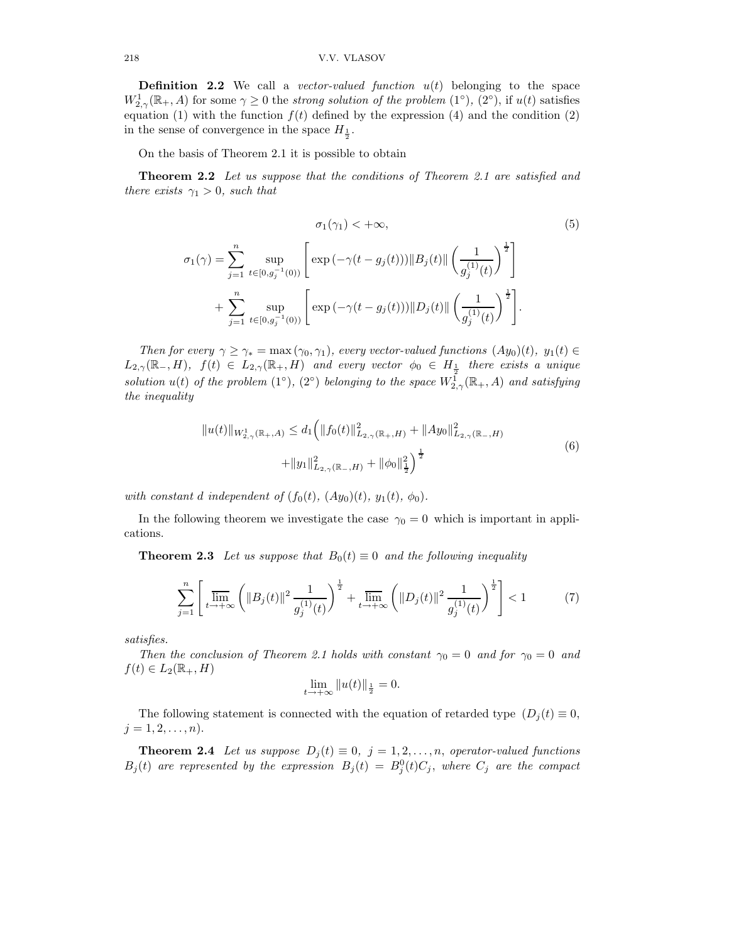**Definition 2.2** We call a vector-valued function  $u(t)$  belonging to the space  $W_{2,\gamma}^1(\mathbb{R}_+, A)$  for some  $\gamma \geq 0$  the strong solution of the problem  $(1^{\circ})$ ,  $(2^{\circ})$ , if  $u(t)$  satisfies equation (1) with the function  $f(t)$  defined by the expression (4) and the condition (2) in the sense of convergence in the space  $H_{\frac{1}{2}}$ .

On the basis of Theorem 2.1 it is possible to obtain

Theorem 2.2 Let us suppose that the conditions of Theorem 2.1 are satisfied and there exists  $\gamma_1 > 0$ , such that

$$
\sigma_1(\gamma) < +\infty,\tag{5}
$$
\n
$$
\sigma_1(\gamma) = \sum_{j=1}^n \sup_{t \in [0, g_j^{-1}(0))} \left[ \exp\left(-\gamma(t - g_j(t))\right) \|B_j(t)\| \left(\frac{1}{g_j^{(1)}(t)}\right)^{\frac{1}{2}} \right] + \sum_{j=1}^n \sup_{t \in [0, g_j^{-1}(0))} \left[ \exp\left(-\gamma(t - g_j(t))\right) \|D_j(t)\| \left(\frac{1}{g_j^{(1)}(t)}\right)^{\frac{1}{2}} \right].
$$

Then for every  $\gamma \geq \gamma_* = \max(\gamma_0, \gamma_1)$ , every vector-valued functions  $(Ay_0)(t)$ ,  $y_1(t) \in$  $L_{2,\gamma}(\mathbb{R}_-,H)$ ,  $f(t) \in L_{2,\gamma}(\mathbb{R}_+,H)$  and every vector  $\phi_0 \in H_{\frac{1}{2}}$  there exists a unique solution  $u(t)$  of the problem  $(1^{\circ})$ ,  $(2^{\circ})$  belonging to the space  $W^1_{2,\gamma}(\mathbb{R}_+,A)$  and satisfying the inequality

$$
||u(t)||_{W_{2,\gamma}^{1}(\mathbb{R}_{+},A)} \leq d_{1} \left( ||f_{0}(t)||_{L_{2,\gamma}(\mathbb{R}_{+},H)}^{2} + ||Ay_{0}||_{L_{2,\gamma}(\mathbb{R}_{-},H)}^{2} + ||y_{1}||_{L_{2,\gamma}(\mathbb{R}_{-},H)}^{2} + ||\phi_{0}||_{\frac{1}{2}}^{2} \right)^{\frac{1}{2}}
$$
\n
$$
(6)
$$

with constant d independent of  $(f_0(t), (Ay_0)(t), y_1(t), \phi_0)$ .

In the following theorem we investigate the case  $\gamma_0 = 0$  which is important in applications.

**Theorem 2.3** Let us suppose that  $B_0(t) \equiv 0$  and the following inequality

$$
\sum_{j=1}^{n} \left[ \lim_{t \to +\infty} \left( \|B_j(t)\|^2 \frac{1}{g_j^{(1)}(t)} \right)^{\frac{1}{2}} + \lim_{t \to +\infty} \left( \|D_j(t)\|^2 \frac{1}{g_j^{(1)}(t)} \right)^{\frac{1}{2}} \right] < 1 \tag{7}
$$

satisfies.

Then the conclusion of Theorem 2.1 holds with constant  $\gamma_0 = 0$  and for  $\gamma_0 = 0$  and  $f(t) \in L_2(\mathbb{R}_+, H)$ 

$$
\lim_{t\to+\infty}||u(t)||_{\frac{1}{2}}=0.
$$

The following statement is connected with the equation of retarded type  $(D_i(t) \equiv 0,$  $j = 1, 2, \ldots, n$ .

**Theorem 2.4** Let us suppose  $D_j(t) \equiv 0, j = 1, 2, ..., n$ , operator-valued functions  $B_j(t)$  are represented by the expression  $B_j(t) = B_j^0(t)C_j$ , where  $C_j$  are the compact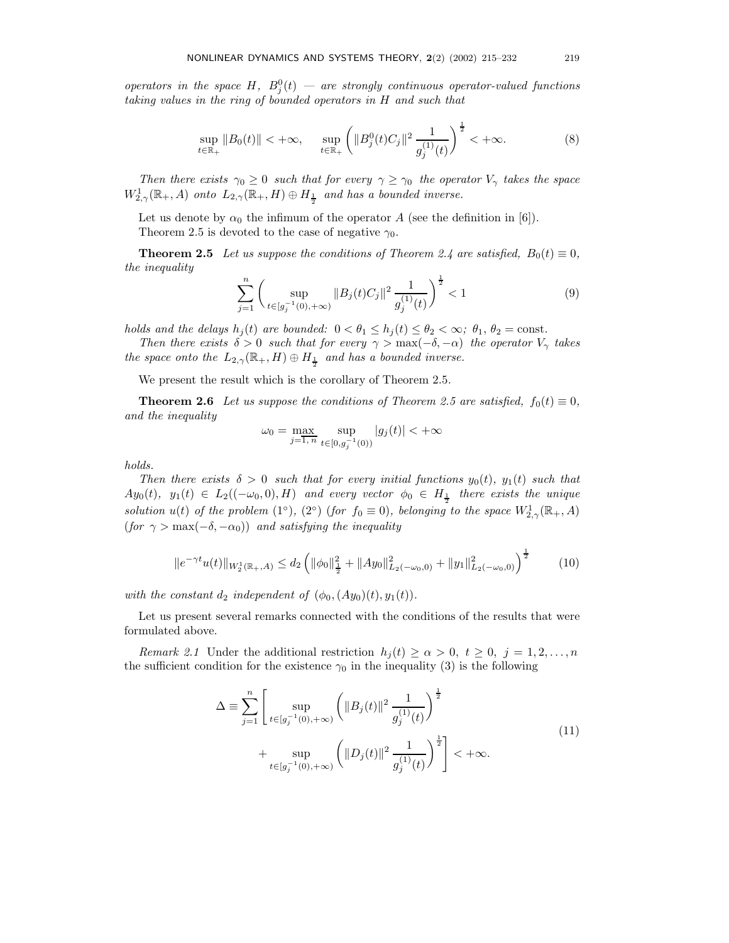operators in the space H,  $B_j^0(t)$  — are strongly continuous operator-valued functions taking values in the ring of bounded operators in H and such that

$$
\sup_{t \in \mathbb{R}_+} \|B_0(t)\| < +\infty, \quad \sup_{t \in \mathbb{R}_+} \left( \|B_j^0(t)C_j\|^2 \, \frac{1}{g_j^{(1)}(t)} \right)^{\frac{1}{2}} < +\infty. \tag{8}
$$

Then there exists  $\gamma_0 \geq 0$  such that for every  $\gamma \geq \gamma_0$  the operator  $V_\gamma$  takes the space  $W_{2,\gamma}^1(\mathbb{R}_+, A)$  onto  $L_{2,\gamma}(\mathbb{R}_+, H) \oplus H_{\frac{1}{2}}$  and has a bounded inverse.

Let us denote by  $\alpha_0$  the infimum of the operator A (see the definition in [6]). Theorem 2.5 is devoted to the case of negative  $\gamma_0$ .

**Theorem 2.5** Let us suppose the conditions of Theorem 2.4 are satisfied,  $B_0(t) \equiv 0$ , the inequality

$$
\sum_{j=1}^{n} \left( \sup_{t \in [g_j^{-1}(0), +\infty)} \|B_j(t)C_j\|^2 \frac{1}{g_j^{(1)}(t)} \right)^{\frac{1}{2}} < 1
$$
\n(9)

holds and the delays  $h_j(t)$  are bounded:  $0 < \theta_1 \le h_j(t) \le \theta_2 < \infty$ ;  $\theta_1, \theta_2 = \text{const.}$ 

Then there exists  $\delta > 0$  such that for every  $\gamma > \max(-\delta, -\alpha)$  the operator  $V_{\gamma}$  takes the space onto the  $L_{2,\gamma}(\mathbb{R}_+, H) \oplus H_{\frac{1}{2}}$  and has a bounded inverse.

We present the result which is the corollary of Theorem 2.5.

**Theorem 2.6** Let us suppose the conditions of Theorem 2.5 are satisfied,  $f_0(t) \equiv 0$ , and the inequality

$$
\omega_0 = \max_{j=\overline{1,n}} \sup_{t \in [0,g_j^{-1}(0))} |g_j(t)| < +\infty
$$

holds.

Then there exists  $\delta > 0$  such that for every initial functions  $y_0(t)$ ,  $y_1(t)$  such that  $Ay_0(t)$ ,  $y_1(t) \in L_2((-\omega_0, 0), H)$  and every vector  $\phi_0 \in H_{\frac{1}{2}}$  there exists the unique solution u(t) of the problem (1°), (2°) (for  $f_0 \equiv 0$ ), belonging to the space  $W^1_{2,\gamma}(\mathbb{R}_+, A)$ (for  $\gamma > \max(-\delta, -\alpha_0)$ ) and satisfying the inequality

$$
||e^{-\gamma t}u(t)||_{W_2^1(\mathbb{R}_+,A)} \le d_2 \left(||\phi_0||_{\frac{1}{2}}^2 + ||Ay_0||_{L_2(-\omega_0,0)}^2 + ||y_1||_{L_2(-\omega_0,0)}^2\right)^{\frac{1}{2}} \tag{10}
$$

with the constant  $d_2$  independent of  $(\phi_0, (Ay_0)(t), y_1(t))$ .

Let us present several remarks connected with the conditions of the results that were formulated above.

Remark 2.1 Under the additional restriction  $h_i(t) \geq \alpha > 0, t \geq 0, j = 1, 2, ..., n$ the sufficient condition for the existence  $\gamma_0$  in the inequality (3) is the following

$$
\Delta \equiv \sum_{j=1}^{n} \left[ \sup_{t \in [g_j^{-1}(0), +\infty)} \left( \|B_j(t)\|^2 \frac{1}{g_j^{(1)}(t)} \right)^{\frac{1}{2}} + \sup_{t \in [g_j^{-1}(0), +\infty)} \left( \|D_j(t)\|^2 \frac{1}{g_j^{(1)}(t)} \right)^{\frac{1}{2}} \right] < +\infty.
$$
\n(11)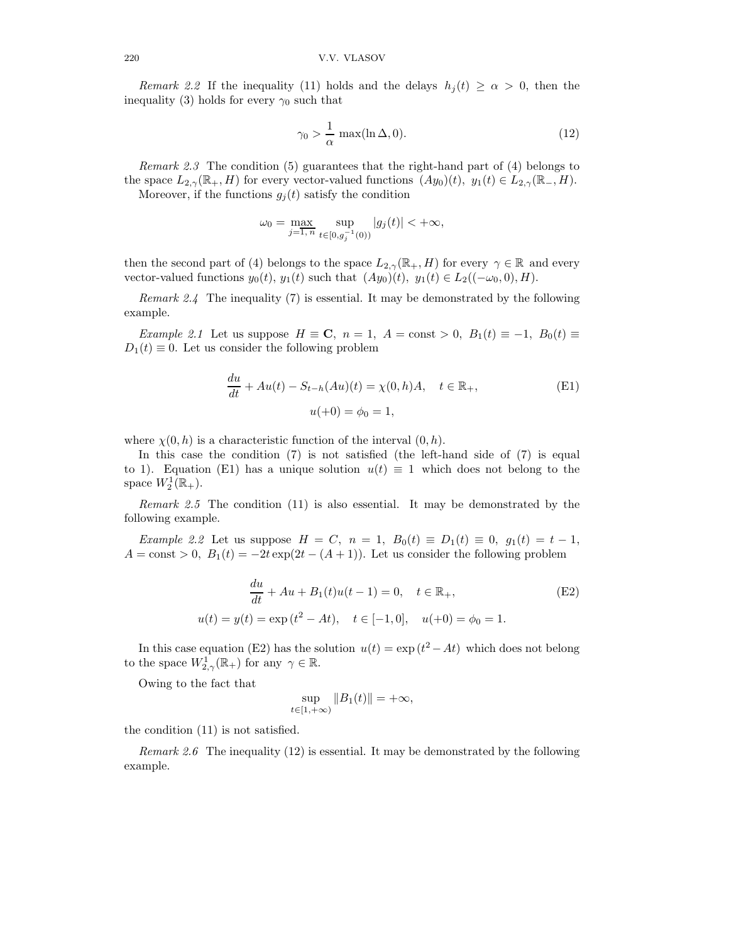Remark 2.2 If the inequality (11) holds and the delays  $h_i(t) \geq \alpha > 0$ , then the inequality (3) holds for every  $\gamma_0$  such that

$$
\gamma_0 > \frac{1}{\alpha} \max(\ln \Delta, 0). \tag{12}
$$

Remark 2.3 The condition (5) guarantees that the right-hand part of (4) belongs to the space  $L_{2,\gamma}(\mathbb{R}_+, H)$  for every vector-valued functions  $(Ay_0)(t), y_1(t) \in L_{2,\gamma}(\mathbb{R}_+, H)$ .

Moreover, if the functions  $g_i(t)$  satisfy the condition

$$
\omega_0 = \max_{j=1, n} \sup_{t \in [0, g_j^{-1}(0))} |g_j(t)| < +\infty,
$$

then the second part of (4) belongs to the space  $L_{2,\gamma}(\mathbb{R}_+, H)$  for every  $\gamma \in \mathbb{R}$  and every vector-valued functions  $y_0(t)$ ,  $y_1(t)$  such that  $(Ay_0)(t)$ ,  $y_1(t) \in L_2((-\omega_0, 0), H)$ .

Remark 2.4 The inequality (7) is essential. It may be demonstrated by the following example.

Example 2.1 Let us suppose  $H \equiv \mathbf{C}$ ,  $n = 1$ ,  $A = \text{const} > 0$ ,  $B_1(t) \equiv -1$ ,  $B_0(t) \equiv$  $D_1(t) \equiv 0$ . Let us consider the following problem

$$
\frac{du}{dt} + Au(t) - S_{t-h}(Au)(t) = \chi(0, h)A, \quad t \in \mathbb{R}_+,
$$
  
(E1)  

$$
u(+0) = \phi_0 = 1,
$$

where  $\chi(0, h)$  is a characteristic function of the interval  $(0, h)$ .

In this case the condition  $(7)$  is not satisfied (the left-hand side of  $(7)$  is equal to 1). Equation (E1) has a unique solution  $u(t) \equiv 1$  which does not belong to the space  $W_2^1(\mathbb{R}_+).$ 

Remark 2.5 The condition (11) is also essential. It may be demonstrated by the following example.

Example 2.2 Let us suppose  $H = C$ ,  $n = 1$ ,  $B_0(t) \equiv D_1(t) \equiv 0$ ,  $g_1(t) = t - 1$ ,  $A = \text{const} > 0$ ,  $B_1(t) = -2t \exp(2t - (A + 1))$ . Let us consider the following problem

$$
\frac{du}{dt} + Au + B_1(t)u(t-1) = 0, \quad t \in \mathbb{R}_+,
$$
\n
$$
u(t) = y(t) = \exp(t^2 - At), \quad t \in [-1, 0], \quad u(+0) = \phi_0 = 1.
$$
\n(E2)

In this case equation (E2) has the solution  $u(t) = \exp(t^2 - At)$  which does not belong to the space  $W_{2,\gamma}^1(\mathbb{R}_+)$  for any  $\gamma \in \mathbb{R}$ .

Owing to the fact that

$$
\sup_{t \in [1, +\infty)} \|B_1(t)\| = +\infty,
$$

the condition (11) is not satisfied.

Remark 2.6 The inequality (12) is essential. It may be demonstrated by the following example.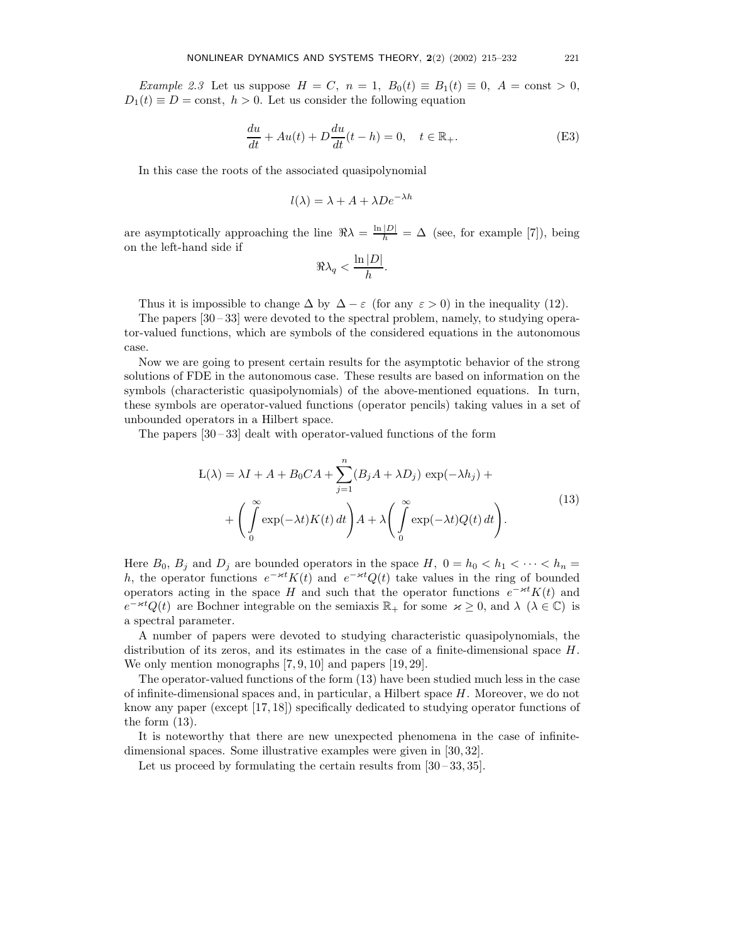Example 2.3 Let us suppose  $H = C$ ,  $n = 1$ ,  $B_0(t) \equiv B_1(t) \equiv 0$ ,  $A = \text{const} > 0$ ,  $D_1(t) \equiv D = \text{const}, h > 0.$  Let us consider the following equation

$$
\frac{du}{dt} + Au(t) + D\frac{du}{dt}(t - h) = 0, \quad t \in \mathbb{R}_{+}.
$$
 (E3)

In this case the roots of the associated quasipolynomial

$$
l(\lambda) = \lambda + A + \lambda De^{-\lambda h}
$$

are asymptotically approaching the line  $\Re \lambda = \frac{\ln |D|}{h} = \Delta$  (see, for example [7]), being on the left-hand side if

$$
\Re \lambda_q < \frac{\ln |D|}{h}.
$$

Thus it is impossible to change  $\Delta$  by  $\Delta - \varepsilon$  (for any  $\varepsilon > 0$ ) in the inequality (12).

The papers  $[30-33]$  were devoted to the spectral problem, namely, to studying operator-valued functions, which are symbols of the considered equations in the autonomous case.

Now we are going to present certain results for the asymptotic behavior of the strong solutions of FDE in the autonomous case. These results are based on information on the symbols (characteristic quasipolynomials) of the above-mentioned equations. In turn, these symbols are operator-valued functions (operator pencils) taking values in a set of unbounded operators in a Hilbert space.

The papers [30–33] dealt with operator-valued functions of the form

$$
L(\lambda) = \lambda I + A + B_0 C A + \sum_{j=1}^n (B_j A + \lambda D_j) \exp(-\lambda h_j) +
$$
  
+ 
$$
\left( \int_0^\infty \exp(-\lambda t) K(t) dt \right) A + \lambda \left( \int_0^\infty \exp(-\lambda t) Q(t) dt \right).
$$
 (13)

Here  $B_0, B_i$  and  $D_i$  are bounded operators in the space H,  $0 = h_0 < h_1 < \cdots < h_n$ h, the operator functions  $e^{-\varkappa t}K(t)$  and  $e^{-\varkappa t}Q(t)$  take values in the ring of bounded operators acting in the space H and such that the operator functions  $e^{-\varkappa t}K(t)$  and  $e^{-\varkappa t}Q(t)$  are Bochner integrable on the semiaxis  $\mathbb{R}_+$  for some  $\varkappa \geq 0$ , and  $\lambda$   $(\lambda \in \mathbb{C})$  is a spectral parameter.

A number of papers were devoted to studying characteristic quasipolynomials, the distribution of its zeros, and its estimates in the case of a finite-dimensional space  $H$ . We only mention monographs  $[7, 9, 10]$  and papers  $[19, 29]$ .

The operator-valued functions of the form (13) have been studied much less in the case of infinite-dimensional spaces and, in particular, a Hilbert space  $H$ . Moreover, we do not know any paper (except [17,18]) specifically dedicated to studying operator functions of the form (13).

It is noteworthy that there are new unexpected phenomena in the case of infinitedimensional spaces. Some illustrative examples were given in [30,32].

Let us proceed by formulating the certain results from  $[30-33,35]$ .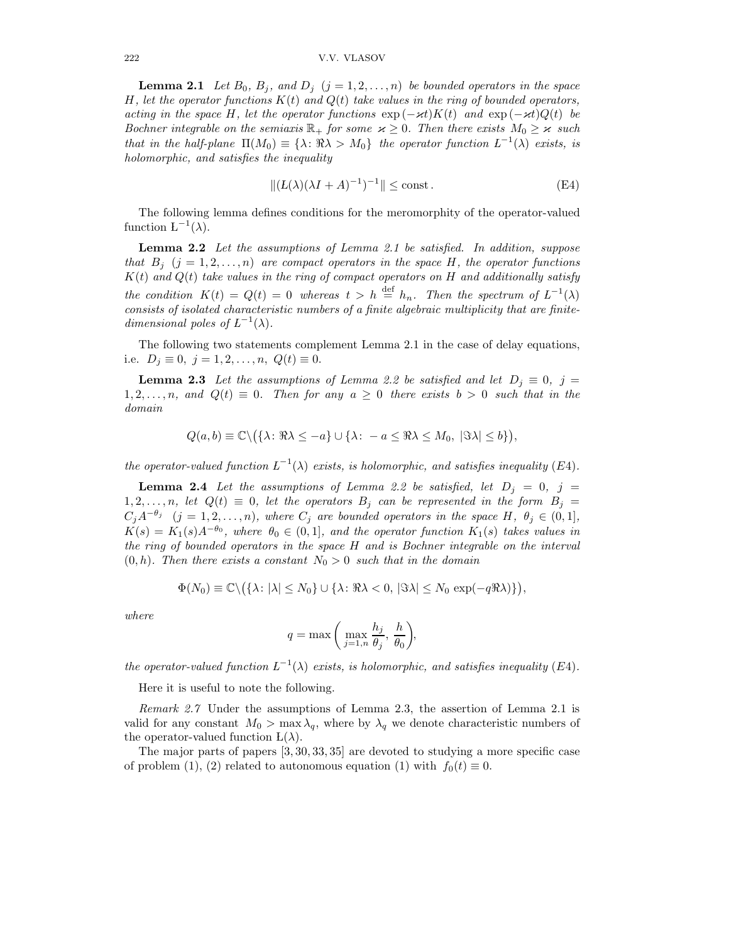**Lemma 2.1** Let  $B_0$ ,  $B_i$ , and  $D_i$   $(j = 1, 2, ..., n)$  be bounded operators in the space H, let the operator functions  $K(t)$  and  $Q(t)$  take values in the ring of bounded operators, acting in the space H, let the operator functions  $\exp(-\varkappa t)K(t)$  and  $\exp(-\varkappa t)Q(t)$  be Bochner integrable on the semiaxis  $\mathbb{R}_+$  for some  $\varkappa \geq 0$ . Then there exists  $M_0 \geq \varkappa$  such that in the half-plane  $\Pi(M_0) \equiv {\lambda : \Re \lambda > M_0}$  the operator function  $L^{-1}(\lambda)$  exists, is holomorphic, and satisfies the inequality

$$
||(L(\lambda)(\lambda I + A)^{-1})^{-1}|| \le \text{const.} \tag{E4}
$$

The following lemma defines conditions for the meromorphity of the operator-valued function  $L^{-1}(\lambda)$ .

Lemma 2.2 Let the assumptions of Lemma 2.1 be satisfied. In addition, suppose that  $B_i$  (j = 1, 2, ..., n) are compact operators in the space H, the operator functions  $K(t)$  and  $Q(t)$  take values in the ring of compact operators on H and additionally satisfy the condition  $K(t) = Q(t) = 0$  whereas  $t > h \stackrel{\text{def}}{=} h_n$ . Then the spectrum of  $L^{-1}(\lambda)$ consists of isolated characteristic numbers of a finite algebraic multiplicity that are finitedimensional poles of  $L^{-1}(\lambda)$ .

The following two statements complement Lemma 2.1 in the case of delay equations, i.e.  $D_j \equiv 0, j = 1, 2, ..., n, Q(t) \equiv 0.$ 

**Lemma 2.3** Let the assumptions of Lemma 2.2 be satisfied and let  $D_i \equiv 0$ , j = 1, 2, ..., n, and  $Q(t) \equiv 0$ . Then for any  $a \geq 0$  there exists  $b > 0$  such that in the domain

$$
Q(a,b) \equiv \mathbb{C} \setminus (\{\lambda \colon \Re \lambda \le -a\} \cup \{\lambda \colon -a \le \Re \lambda \le M_0, \ |\Im \lambda| \le b\}),
$$

the operator-valued function  $L^{-1}(\lambda)$  exists, is holomorphic, and satisfies inequality (E4).

**Lemma 2.4** Let the assumptions of Lemma 2.2 be satisfied, let  $D_j = 0$ ,  $j =$ 1, 2, ..., n, let  $Q(t) \equiv 0$ , let the operators  $B_j$  can be represented in the form  $B_j =$  $C_jA^{-\theta_j}$   $(j = 1, 2, ..., n)$ , where  $C_j$  are bounded operators in the space H,  $\theta_j \in (0, 1]$ ,  $K(s) = K_1(s)A^{-\theta_0}$ , where  $\theta_0 \in (0,1]$ , and the operator function  $K_1(s)$  takes values in the ring of bounded operators in the space H and is Bochner integrable on the interval  $(0, h)$ . Then there exists a constant  $N_0 > 0$  such that in the domain

$$
\Phi(N_0) \equiv \mathbb{C} \setminus \big( \{\lambda : |\lambda| \le N_0 \} \cup \{\lambda : \Re \lambda < 0, |\Im \lambda| \le N_0 \exp(-q \Re \lambda) \} \big),
$$

where

$$
q = \max\bigg(\max_{j=1,n} \frac{h_j}{\theta_j}, \frac{h}{\theta_0}\bigg),\,
$$

the operator-valued function  $L^{-1}(\lambda)$  exists, is holomorphic, and satisfies inequality (E4).

Here it is useful to note the following.

Remark 2.7 Under the assumptions of Lemma 2.3, the assertion of Lemma 2.1 is valid for any constant  $M_0 > \max_{\mathcal{A}} \lambda_q$ , where by  $\lambda_q$  we denote characteristic numbers of the operator-valued function  $L(\lambda)$ .

The major parts of papers [3,30,33,35] are devoted to studying a more specific case of problem (1), (2) related to autonomous equation (1) with  $f_0(t) \equiv 0$ .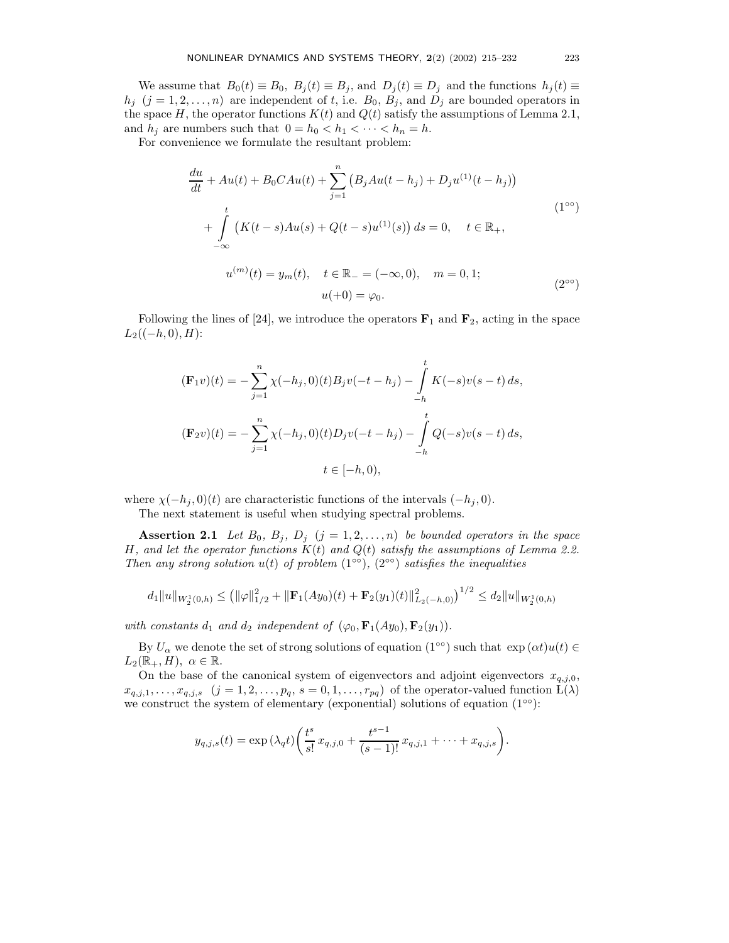We assume that  $B_0(t) \equiv B_0$ ,  $B_i(t) \equiv B_i$ , and  $D_i(t) \equiv D_i$  and the functions  $h_i(t) \equiv$  $h_j$   $(j = 1, 2, ..., n)$  are independent of t, i.e.  $B_0$ ,  $B_j$ , and  $D_j$  are bounded operators in the space H, the operator functions  $K(t)$  and  $Q(t)$  satisfy the assumptions of Lemma 2.1, and  $h_j$  are numbers such that  $0 = h_0 < h_1 < \cdots < h_n = h$ .

For convenience we formulate the resultant problem:

$$
\frac{du}{dt} + Au(t) + B_0CAu(t) + \sum_{j=1}^n (B_jAu(t - h_j) + D_ju^{(1)}(t - h_j))
$$
\n
$$
+ \int_{-\infty}^t (K(t - s)Au(s) + Q(t - s)u^{(1)}(s)) ds = 0, \quad t \in \mathbb{R}_+,
$$
\n
$$
u^{(m)}(t) = y_m(t), \quad t \in \mathbb{R}_- = (-\infty, 0), \quad m = 0, 1;
$$
\n
$$
u(+0) = \varphi_0.
$$
\n(2<sup>oo</sup>)

Following the lines of [24], we introduce the operators  $\mathbf{F}_1$  and  $\mathbf{F}_2$ , acting in the space  $L_2((-h, 0), H)$ :

$$
(\mathbf{F}_1 v)(t) = -\sum_{j=1}^n \chi(-h_j, 0)(t) B_j v(-t - h_j) - \int_{-h}^t K(-s)v(s - t) ds,
$$
  

$$
(\mathbf{F}_2 v)(t) = -\sum_{j=1}^n \chi(-h_j, 0)(t) D_j v(-t - h_j) - \int_{-h}^t Q(-s)v(s - t) ds,
$$
  

$$
t \in [-h, 0),
$$

where  $\chi(-h_j, 0)(t)$  are characteristic functions of the intervals  $(-h_j, 0)$ .

The next statement is useful when studying spectral problems.

**Assertion 2.1** Let  $B_0$ ,  $B_j$ ,  $D_j$  ( $j = 1, 2, ..., n$ ) be bounded operators in the space H, and let the operator functions  $K(t)$  and  $Q(t)$  satisfy the assumptions of Lemma 2.2. Then any strong solution  $u(t)$  of problem  $(1^{\circ\circ})$ ,  $(2^{\circ\circ})$  satisfies the inequalities

$$
d_1||u||_{W_2^1(0,h)} \leq (||\varphi||_{1/2}^2 + ||\mathbf{F}_1(Ay_0)(t) + \mathbf{F}_2(y_1)(t)||_{L_2(-h,0)}^2)^{1/2} \leq d_2||u||_{W_2^1(0,h)}
$$

with constants  $d_1$  and  $d_2$  independent of  $(\varphi_0, \mathbf{F}_1(Ay_0), \mathbf{F}_2(y_1)).$ 

By  $U_{\alpha}$  we denote the set of strong solutions of equation (1<sup>°</sup>°) such that  $\exp(\alpha t)u(t) \in$  $L_2(\mathbb{R}_+, H)$ ,  $\alpha \in \mathbb{R}$ .

On the base of the canonical system of eigenvectors and adjoint eigenvectors  $x_{q,j,0}$ ,  $x_{q,j,1},\ldots,x_{q,j,s}$   $(j = 1,2,\ldots,p_q, s = 0,1,\ldots,r_{pq})$  of the operator-valued function  $L(\lambda)$ we construct the system of elementary (exponential) solutions of equation  $(1°°)$ :

$$
y_{q,j,s}(t) = \exp\left(\lambda_q t\right) \left(\frac{t^s}{s!} x_{q,j,0} + \frac{t^{s-1}}{(s-1)!} x_{q,j,1} + \cdots + x_{q,j,s}\right).
$$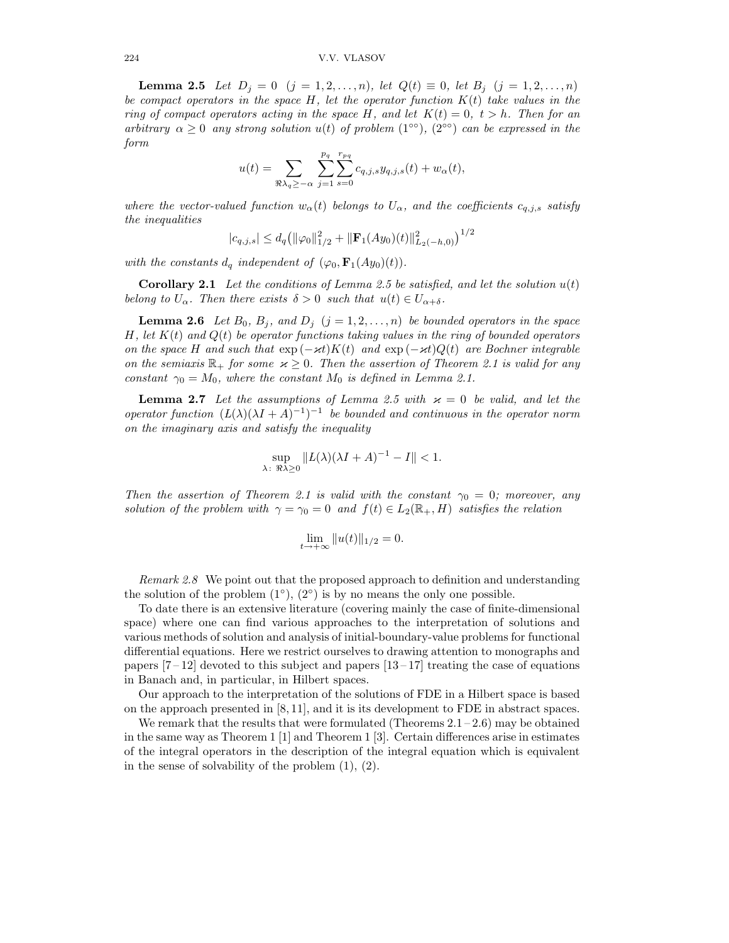### 224 V.V. VLASOV

**Lemma 2.5** Let  $D_j = 0$   $(j = 1, 2, ..., n)$ , let  $Q(t) \equiv 0$ , let  $B_j$   $(j = 1, 2, ..., n)$ be compact operators in the space  $H$ , let the operator function  $K(t)$  take values in the ring of compact operators acting in the space H, and let  $K(t) = 0, t > h$ . Then for an arbitrary  $\alpha \geq 0$  any strong solution  $u(t)$  of problem  $(1^{\infty})$ ,  $(2^{\infty})$  can be expressed in the form

$$
u(t) = \sum_{\Re\lambda_q \ge -\alpha} \sum_{j=1}^{p_q} \sum_{s=0}^{r_{pq}} c_{q,j,s} y_{q,j,s}(t) + w_\alpha(t),
$$

where the vector-valued function  $w_{\alpha}(t)$  belongs to  $U_{\alpha}$ , and the coefficients  $c_{q,j,s}$  satisfy the inequalities

$$
|c_{q,j,s}| \leq d_q \big( \|\varphi_0\|_{1/2}^2 + \|\mathbf{F}_1(Ay_0)(t)\|_{L_2(-h,0)}^2 \big)^{1/2}
$$

with the constants  $d_q$  independent of  $(\varphi_0, \mathbf{F}_1(Ay_0)(t)).$ 

**Corollary 2.1** Let the conditions of Lemma 2.5 be satisfied, and let the solution  $u(t)$ belong to  $U_{\alpha}$ . Then there exists  $\delta > 0$  such that  $u(t) \in U_{\alpha+\delta}$ .

**Lemma 2.6** Let  $B_0$ ,  $B_j$ , and  $D_j$   $(j = 1, 2, ..., n)$  be bounded operators in the space H, let  $K(t)$  and  $Q(t)$  be operator functions taking values in the ring of bounded operators on the space H and such that  $\exp(-\varkappa t)K(t)$  and  $\exp(-\varkappa t)Q(t)$  are Bochner integrable on the semiaxis  $\mathbb{R}_+$  for some  $\varkappa \geq 0$ . Then the assertion of Theorem 2.1 is valid for any constant  $\gamma_0 = M_0$ , where the constant  $M_0$  is defined in Lemma 2.1.

**Lemma 2.7** Let the assumptions of Lemma 2.5 with  $\varkappa = 0$  be valid, and let the operator function  $(L(\lambda)(\lambda I + A)^{-1})^{-1}$  be bounded and continuous in the operator norm on the imaginary axis and satisfy the inequality

$$
\sup_{\lambda \colon \Re \lambda \ge 0} \|L(\lambda)(\lambda I + A)^{-1} - I\| < 1.
$$

Then the assertion of Theorem 2.1 is valid with the constant  $\gamma_0 = 0$ ; moreover, any solution of the problem with  $\gamma = \gamma_0 = 0$  and  $f(t) \in L_2(\mathbb{R}_+, H)$  satisfies the relation

$$
\lim_{t \to +\infty} \|u(t)\|_{1/2} = 0.
$$

Remark 2.8 We point out that the proposed approach to definition and understanding the solution of the problem  $(1^{\circ})$ ,  $(2^{\circ})$  is by no means the only one possible.

To date there is an extensive literature (covering mainly the case of finite-dimensional space) where one can find various approaches to the interpretation of solutions and various methods of solution and analysis of initial-boundary-value problems for functional differential equations. Here we restrict ourselves to drawing attention to monographs and papers  $[7-12]$  devoted to this subject and papers  $[13-17]$  treating the case of equations in Banach and, in particular, in Hilbert spaces.

Our approach to the interpretation of the solutions of FDE in a Hilbert space is based on the approach presented in [8,11], and it is its development to FDE in abstract spaces.

We remark that the results that were formulated (Theorems  $2.1-2.6$ ) may be obtained in the same way as Theorem 1 [1] and Theorem 1 [3]. Certain differences arise in estimates of the integral operators in the description of the integral equation which is equivalent in the sense of solvability of the problem (1), (2).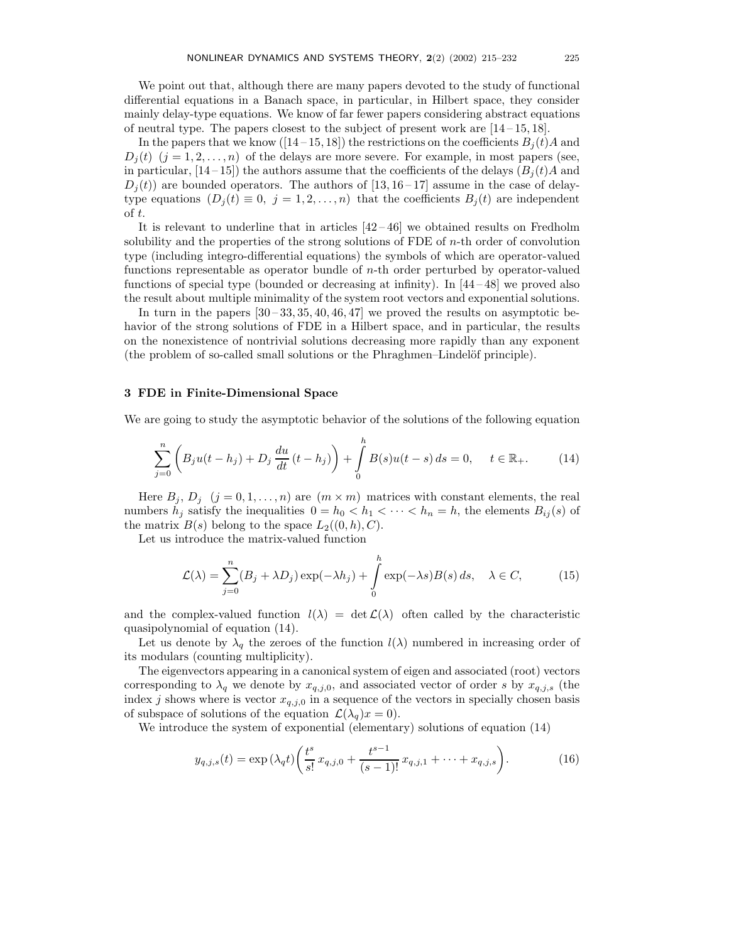We point out that, although there are many papers devoted to the study of functional differential equations in a Banach space, in particular, in Hilbert space, they consider mainly delay-type equations. We know of far fewer papers considering abstract equations of neutral type. The papers closest to the subject of present work are  $[14-15,18]$ .

In the papers that we know ([14 – 15, 18]) the restrictions on the coefficients  $B_i(t)A$  and  $D_i(t)$   $(j = 1, 2, \ldots, n)$  of the delays are more severe. For example, in most papers (see, in particular,  $[14-15]$ ) the authors assume that the coefficients of the delays  $(B_i(t)A)$  and  $D_i(t)$  are bounded operators. The authors of [13, 16–17] assume in the case of delaytype equations  $(D_i(t) \equiv 0, j = 1, 2, ..., n)$  that the coefficients  $B_i(t)$  are independent of t.

It is relevant to underline that in articles  $[42-46]$  we obtained results on Fredholm solubility and the properties of the strong solutions of FDE of n-th order of convolution type (including integro-differential equations) the symbols of which are operator-valued functions representable as operator bundle of n-th order perturbed by operator-valued functions of special type (bounded or decreasing at infinity). In  $[44-48]$  we proved also the result about multiple minimality of the system root vectors and exponential solutions.

In turn in the papers  $[30-33,35,40,46,47]$  we proved the results on asymptotic behavior of the strong solutions of FDE in a Hilbert space, and in particular, the results on the nonexistence of nontrivial solutions decreasing more rapidly than any exponent  $($ the problem of so-called small solutions or the Phraghmen–Lindelöf principle $).$ 

# 3 FDE in Finite-Dimensional Space

We are going to study the asymptotic behavior of the solutions of the following equation

$$
\sum_{j=0}^{n} \left( B_j u(t - h_j) + D_j \frac{du}{dt} (t - h_j) \right) + \int_{0}^{h} B(s) u(t - s) ds = 0, \quad t \in \mathbb{R}_+.
$$
 (14)

Here  $B_j$ ,  $D_j$   $(j = 0, 1, ..., n)$  are  $(m \times m)$  matrices with constant elements, the real numbers  $h_i$  satisfy the inequalities  $0 = h_0 < h_1 < \cdots < h_n = h$ , the elements  $B_{ij}(s)$  of the matrix  $B(s)$  belong to the space  $L_2((0, h), C)$ .

Let us introduce the matrix-valued function

$$
\mathcal{L}(\lambda) = \sum_{j=0}^{n} (B_j + \lambda D_j) \exp(-\lambda h_j) + \int_{0}^{h} \exp(-\lambda s) B(s) ds, \quad \lambda \in C,
$$
 (15)

and the complex-valued function  $l(\lambda) = \det \mathcal{L}(\lambda)$  often called by the characteristic quasipolynomial of equation (14).

Let us denote by  $\lambda_q$  the zeroes of the function  $l(\lambda)$  numbered in increasing order of its modulars (counting multiplicity).

The eigenvectors appearing in a canonical system of eigen and associated (root) vectors corresponding to  $\lambda_q$  we denote by  $x_{q,j,0}$ , and associated vector of order s by  $x_{q,j,s}$  (the index j shows where is vector  $x_{q,i,0}$  in a sequence of the vectors in specially chosen basis of subspace of solutions of the equation  $\mathcal{L}(\lambda_q)x=0$ .

We introduce the system of exponential (elementary) solutions of equation (14)

$$
y_{q,j,s}(t) = \exp\left(\lambda_q t\right) \left(\frac{t^s}{s!} x_{q,j,0} + \frac{t^{s-1}}{(s-1)!} x_{q,j,1} + \dots + x_{q,j,s}\right). \tag{16}
$$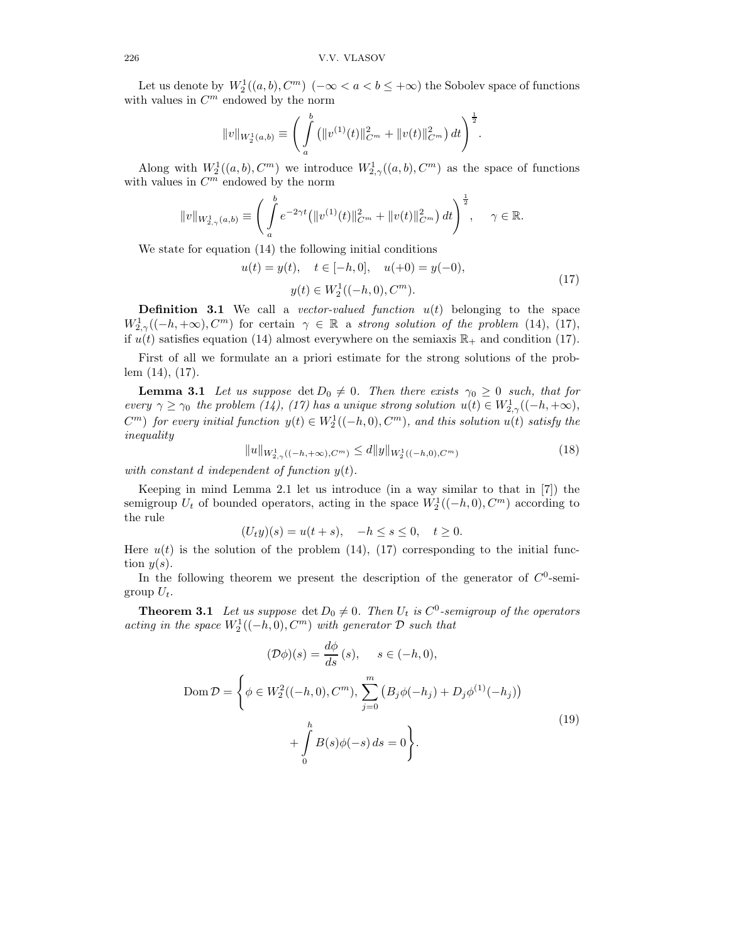Let us denote by  $W_2^1((a, b), C^m)$   $(-\infty < a < b \leq +\infty)$  the Sobolev space of functions with values in  $C<sup>m</sup>$  endowed by the norm

$$
||v||_{W_2^1(a,b)} \equiv \left(\int_a^b (||v^{(1)}(t)||_{C^m}^2 + ||v(t)||_{C^m}^2) dt\right)^{\frac{1}{2}}.
$$

Along with  $W_2^1((a, b), C^m)$  we introduce  $W_{2,\gamma}^1((a, b), C^m)$  as the space of functions with values in  $C<sup>m</sup>$  endowed by the norm

$$
||v||_{W_{2,\gamma}^1(a,b)} \equiv \left(\int_a^b e^{-2\gamma t} (||v^{(1)}(t)||_{C^m}^2 + ||v(t)||_{C^m}^2) dt\right)^{\frac{1}{2}}, \quad \gamma \in \mathbb{R}.
$$

We state for equation (14) the following initial conditions

$$
u(t) = y(t), \quad t \in [-h, 0], \quad u(+0) = y(-0),
$$
  

$$
y(t) \in W_2^1((-h, 0), C^m).
$$
 (17)

**Definition 3.1** We call a vector-valued function  $u(t)$  belonging to the space  $W_{2,\gamma}^1((-h, +\infty), C^m)$  for certain  $\gamma \in \mathbb{R}$  a strong solution of the problem (14), (17), if  $u(t)$  satisfies equation (14) almost everywhere on the semiaxis  $\mathbb{R}_+$  and condition (17).

First of all we formulate an a priori estimate for the strong solutions of the problem (14), (17).

**Lemma 3.1** Let us suppose  $\det D_0 \neq 0$ . Then there exists  $\gamma_0 \geq 0$  such, that for every  $\gamma \ge \gamma_0$  the problem (14), (17) has a unique strong solution  $u(t) \in W^1_{2,\gamma}((-h,+\infty),$  $C<sup>m</sup>$ ) for every initial function  $y(t) \in W_2^1((-h, 0), C<sup>m</sup>)$ , and this solution  $u(t)$  satisfy the inequality

$$
||u||_{W_{2,\gamma}^1((-h,+\infty),C^m)} \le d||y||_{W_2^1((-h,0),C^m)}
$$
\n(18)

with constant d independent of function  $y(t)$ .

Keeping in mind Lemma 2.1 let us introduce (in a way similar to that in [7]) the semigroup  $U_t$  of bounded operators, acting in the space  $W_2^1((-h, 0), C^m)$  according to the rule

$$
(U_t y)(s) = u(t+s), \quad -h \le s \le 0, \quad t \ge 0.
$$

Here  $u(t)$  is the solution of the problem (14), (17) corresponding to the initial function  $y(s)$ .

In the following theorem we present the description of the generator of  $C^0$ -semigroup  $U_t$ .

**Theorem 3.1** Let us suppose  $\det D_0 \neq 0$ . Then  $U_t$  is  $C^0$ -semigroup of the operators acting in the space  $W_2^1((-h, 0), C^m)$  with generator  $\mathcal D$  such that

$$
(\mathcal{D}\phi)(s) = \frac{d\phi}{ds}(s), \quad s \in (-h, 0),
$$
  
Dom  $\mathcal{D} = \left\{ \phi \in W_2^2((-h, 0), C^m), \sum_{j=0}^m (B_j \phi(-h_j) + D_j \phi^{(1)}(-h_j)) + \int_0^h B(s)\phi(-s) ds = 0 \right\}.$  (19)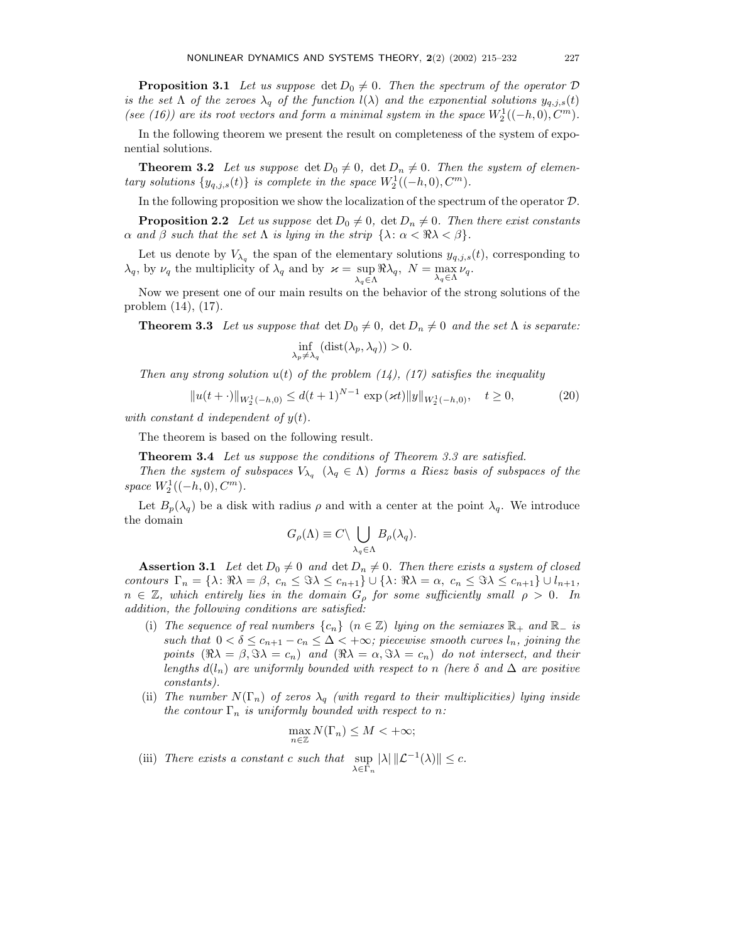**Proposition 3.1** Let us suppose det  $D_0 \neq 0$ . Then the spectrum of the operator D is the set  $\Lambda$  of the zeroes  $\lambda_q$  of the function  $l(\lambda)$  and the exponential solutions  $y_{q,j,s}(t)$ (see (16)) are its root vectors and form a minimal system in the space  $W_2^1((-h, 0), C^m)$ .

In the following theorem we present the result on completeness of the system of exponential solutions.

**Theorem 3.2** Let us suppose  $\det D_0 \neq 0$ ,  $\det D_n \neq 0$ . Then the system of elementary solutions  $\{y_{q,j,s}(t)\}\)$  is complete in the space  $W_2^1((-h,0),C^m)$ .

In the following proposition we show the localization of the spectrum of the operator  $D$ .

**Proposition 2.2** Let us suppose  $\det D_0 \neq 0$ ,  $\det D_n \neq 0$ . Then there exist constants  $\alpha$  and  $\beta$  such that the set  $\Lambda$  is lying in the strip  $\{\lambda : \alpha < \Re\lambda < \beta\}.$ 

Let us denote by  $V_{\lambda_q}$  the span of the elementary solutions  $y_{q,j,s}(t)$ , corresponding to  $\lambda_q$ , by  $\nu_q$  the multiplicity of  $\lambda_q$  and by  $\varkappa = \sup_{\lambda_q \in \Lambda} \Re \lambda_q$ ,  $N = \max_{\lambda_q \in \Lambda} \nu_q$ .

Now we present one of our main results on the behavior of the strong solutions of the problem (14), (17).

**Theorem 3.3** Let us suppose that  $\det D_0 \neq 0$ ,  $\det D_n \neq 0$  and the set  $\Lambda$  is separate:

$$
\inf_{\lambda_p \neq \lambda_q} (\text{dist}(\lambda_p, \lambda_q)) > 0.
$$

Then any strong solution  $u(t)$  of the problem  $(14)$ ,  $(17)$  satisfies the inequality

$$
||u(t+\cdot)||_{W_2^1(-h,0)} \le d(t+1)^{N-1} \exp(\varkappa t) ||y||_{W_2^1(-h,0)}, \quad t \ge 0,
$$
 (20)

with constant d independent of  $y(t)$ .

The theorem is based on the following result.

Theorem 3.4 Let us suppose the conditions of Theorem 3.3 are satisfied.

Then the system of subspaces  $V_{\lambda_q}$  ( $\lambda_q \in \Lambda$ ) forms a Riesz basis of subspaces of the space  $W_2^1((-h, 0), C^m)$ .

Let  $B_p(\lambda_q)$  be a disk with radius  $\rho$  and with a center at the point  $\lambda_q$ . We introduce the domain

$$
G_{\rho}(\Lambda) \equiv C \backslash \bigcup_{\lambda_q \in \Lambda} B_{\rho}(\lambda_q).
$$

**Assertion 3.1** Let det  $D_0 \neq 0$  and det  $D_n \neq 0$ . Then there exists a system of closed contours  $\Gamma_n = \{\lambda : \Re \lambda = \beta, c_n \leq \Im \lambda \leq c_{n+1}\} \cup \{\lambda : \Re \lambda = \alpha, c_n \leq \Im \lambda \leq c_{n+1}\} \cup l_{n+1},$  $n \in \mathbb{Z}$ , which entirely lies in the domain  $G_{\rho}$  for some sufficiently small  $\rho > 0$ . In addition, the following conditions are satisfied:

- (i) The sequence of real numbers  $\{c_n\}$  ( $n \in \mathbb{Z}$ ) lying on the semiaxes  $\mathbb{R}_+$  and  $\mathbb{R}_-$  is such that  $0 < \delta \leq c_{n+1} - c_n \leq \Delta < +\infty$ ; piecewise smooth curves  $l_n$ , joining the points  $(\Re \lambda = \beta, \Im \lambda = c_n)$  and  $(\Re \lambda = \alpha, \Im \lambda = c_n)$  do not intersect, and their lengths  $d(l_n)$  are uniformly bounded with respect to n (here  $\delta$  and  $\Delta$  are positive constants).
- (ii) The number  $N(\Gamma_n)$  of zeros  $\lambda_q$  (with regard to their multiplicities) lying inside the contour  $\Gamma_n$  is uniformly bounded with respect to n:

$$
\max_{n\in\mathbb{Z}} N(\Gamma_n) \le M < +\infty;
$$

(iii) There exists a constant c such that sup  $λ$ ∈Γ<sub>n</sub>  $|\lambda| \|\mathcal{L}^{-1}(\lambda)\| \leq c.$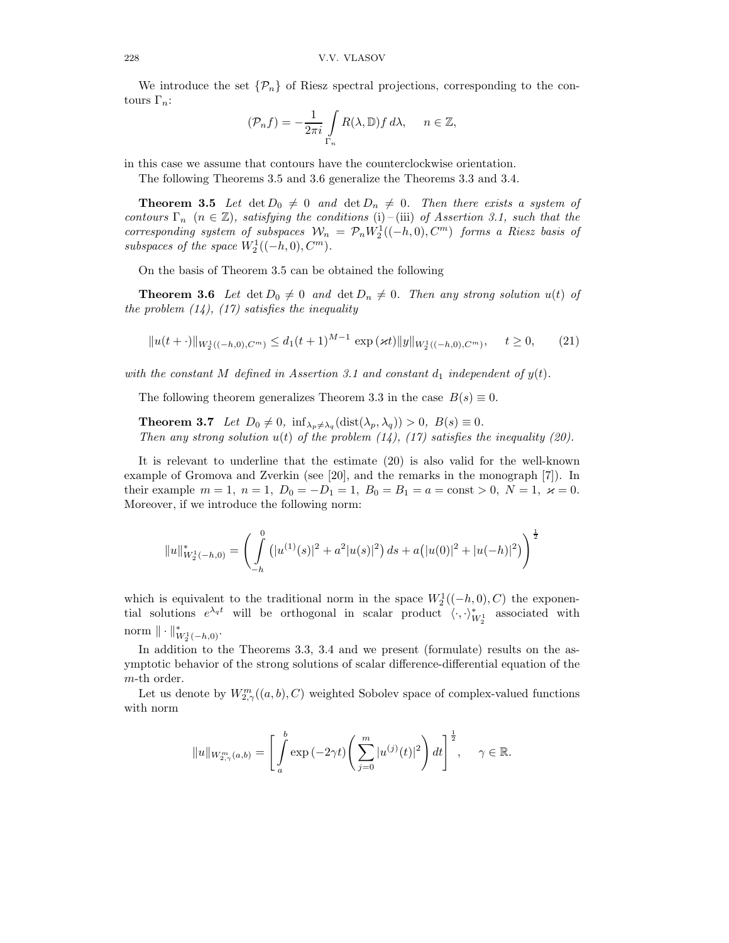We introduce the set  $\{\mathcal{P}_n\}$  of Riesz spectral projections, corresponding to the contours  $\Gamma_n$ :

$$
(\mathcal{P}_n f) = -\frac{1}{2\pi i} \int\limits_{\Gamma_n} R(\lambda, \mathbb{D}) f \, d\lambda, \quad n \in \mathbb{Z},
$$

in this case we assume that contours have the counterclockwise orientation.

The following Theorems 3.5 and 3.6 generalize the Theorems 3.3 and 3.4.

**Theorem 3.5** Let  $\det D_0 \neq 0$  and  $\det D_n \neq 0$ . Then there exists a system of contours  $\Gamma_n$   $(n \in \mathbb{Z})$ , satisfying the conditions (i)-(iii) of Assertion 3.1, such that the corresponding system of subspaces  $W_n = \mathcal{P}_n W_2^1((-h, 0), C^m)$  forms a Riesz basis of subspaces of the space  $W_2^1((-h, 0), C^m)$ .

On the basis of Theorem 3.5 can be obtained the following

**Theorem 3.6** Let  $\det D_0 \neq 0$  and  $\det D_n \neq 0$ . Then any strong solution  $u(t)$  of the problem  $(14)$ ,  $(17)$  satisfies the inequality

$$
||u(t+\cdot)||_{W_2^1((-h,0),C^m)} \le d_1(t+1)^{M-1} \exp\left(\varkappa t\right) ||y||_{W_2^1((-h,0),C^m)}, \quad t \ge 0,\tag{21}
$$

with the constant M defined in Assertion 3.1 and constant  $d_1$  independent of  $y(t)$ .

The following theorem generalizes Theorem 3.3 in the case  $B(s) \equiv 0$ .

**Theorem 3.7** Let  $D_0 \neq 0$ ,  $\inf_{\lambda_p \neq \lambda_q} (\text{dist}(\lambda_p, \lambda_q)) > 0$ ,  $B(s) \equiv 0$ . Then any strong solution  $u(t)$  of the problem  $(14)$ ,  $(17)$  satisfies the inequality  $(20)$ .

It is relevant to underline that the estimate (20) is also valid for the well-known example of Gromova and Zverkin (see [20], and the remarks in the monograph [7]). In their example  $m = 1$ ,  $n = 1$ ,  $D_0 = -D_1 = 1$ ,  $B_0 = B_1 = a = \text{const} > 0$ ,  $N = 1$ ,  $\varkappa = 0$ . Moreover, if we introduce the following norm:

$$
||u||_{W_2^1(-h,0)}^* = \left(\int\limits_{-h}^0 (|u^{(1)}(s)|^2 + a^2|u(s)|^2) ds + a(|u(0)|^2 + |u(-h)|^2)\right)^{\frac{1}{2}}
$$

which is equivalent to the traditional norm in the space  $W_2^1((-h, 0), C)$  the exponential solutions  $e^{\lambda_q t}$  will be orthogonal in scalar product  $\langle \cdot, \cdot \rangle_{W_2^1}^*$  associated with norm  $\|\cdot\|_{W_2^1(-h,0)}^*$ .

In addition to the Theorems 3.3, 3.4 and we present (formulate) results on the asymptotic behavior of the strong solutions of scalar difference-differential equation of the m-th order.

Let us denote by  $W^m_{2,\gamma}((a, b), C)$  weighted Sobolev space of complex-valued functions with norm

$$
||u||_{W^m_{2,\gamma}(a,b)} = \left[\int_a^b \exp\left(-2\gamma t\right) \left(\sum_{j=0}^m |u^{(j)}(t)|^2\right) dt\right]^{\frac{1}{2}}, \quad \gamma \in \mathbb{R}.
$$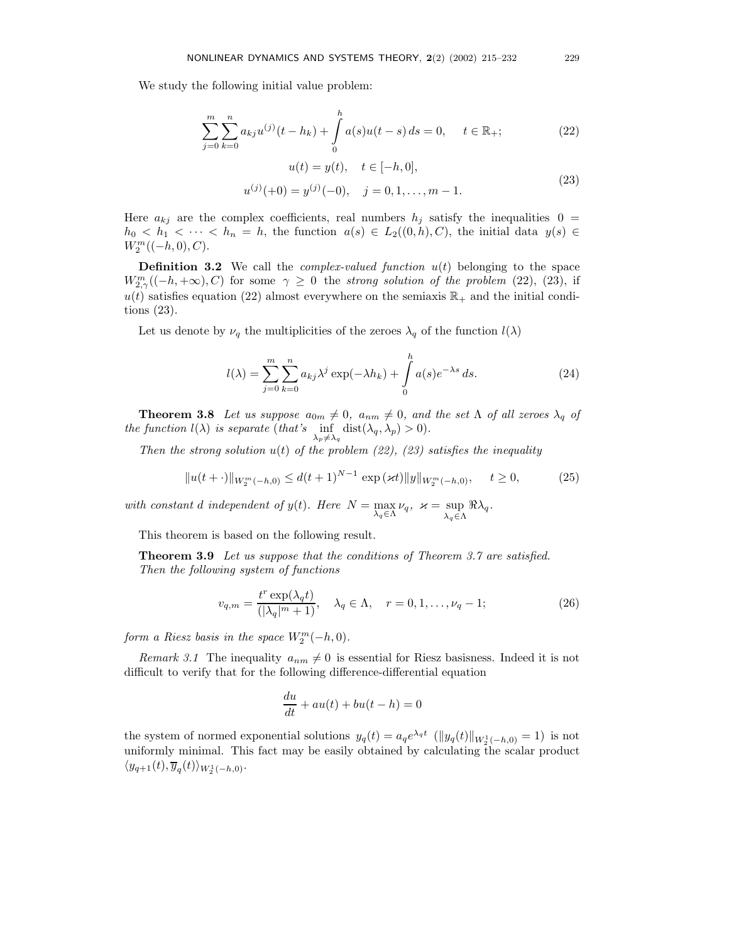We study the following initial value problem:

$$
\sum_{j=0}^{m} \sum_{k=0}^{n} a_{kj} u^{(j)}(t - h_k) + \int_{0}^{h} a(s) u(t - s) ds = 0, \quad t \in \mathbb{R}_{+};
$$
\n(22)

$$
u(t) = y(t), \quad t \in [-h, 0],
$$
  

$$
u^{(j)}(+0) = y^{(j)}(-0), \quad j = 0, 1, ..., m - 1.
$$
 (23)

Here  $a_{kj}$  are the complex coefficients, real numbers  $h_j$  satisfy the inequalities 0 =  $h_0 < h_1 < \cdots < h_n = h$ , the function  $a(s) \in L_2((0,h), C)$ , the initial data  $y(s) \in$  $W_2^m((-h, 0), C).$ 

**Definition 3.2** We call the *complex-valued function*  $u(t)$  belonging to the space  $W_{2,\gamma}^m((-h, +\infty), C)$  for some  $\gamma \geq 0$  the strong solution of the problem (22), (23), if  $u(t)$  satisfies equation (22) almost everywhere on the semiaxis  $\mathbb{R}_+$  and the initial conditions (23).

Let us denote by  $\nu_q$  the multiplicities of the zeroes  $\lambda_q$  of the function  $l(\lambda)$ 

$$
l(\lambda) = \sum_{j=0}^{m} \sum_{k=0}^{n} a_{kj} \lambda^j \exp(-\lambda h_k) + \int_{0}^{h} a(s) e^{-\lambda s} ds.
$$
 (24)

**Theorem 3.8** Let us suppose  $a_{0m} \neq 0$ ,  $a_{nm} \neq 0$ , and the set  $\Lambda$  of all zeroes  $\lambda_q$  of the function  $l(\lambda)$  is separate (that's  $\inf_{\lambda_p \neq \lambda_q} \text{dist}(\lambda_q, \lambda_p) > 0$ ).

Then the strong solution  $u(t)$  of the problem (22), (23) satisfies the inequality

$$
||u(t+\cdot)||_{W_2^m(-h,0)} \le d(t+1)^{N-1} \exp(\varkappa t) ||y||_{W_2^m(-h,0)}, \quad t \ge 0,
$$
 (25)

with constant d independent of  $y(t)$ . Here  $N = \max_{\lambda_q \in \Lambda} \nu_q$ ,  $\varkappa = \sup_{\lambda_q \in \Lambda} \Re \lambda_q$ .

This theorem is based on the following result.

Theorem 3.9 Let us suppose that the conditions of Theorem 3.7 are satisfied. Then the following system of functions

$$
v_{q,m} = \frac{t^r \exp(\lambda_q t)}{(|\lambda_q|^m + 1)}, \quad \lambda_q \in \Lambda, \quad r = 0, 1, \dots, \nu_q - 1; \tag{26}
$$

form a Riesz basis in the space  $W_2^m(-h,0)$ .

*Remark 3.1* The inequality  $a_{nm} \neq 0$  is essential for Riesz basisness. Indeed it is not difficult to verify that for the following difference-differential equation

$$
\frac{du}{dt} + au(t) + bu(t-h) = 0
$$

the system of normed exponential solutions  $y_q(t) = a_q e^{\lambda_q t}$  ( $||y_q(t)||_{W_2^1(-h,0)} = 1$ ) is not uniformly minimal. This fact may be easily obtained by calculating the scalar product  $\langle y_{q+1}(t), \overline{y}_{q}(t) \rangle_{W_2^1(-h,0)}.$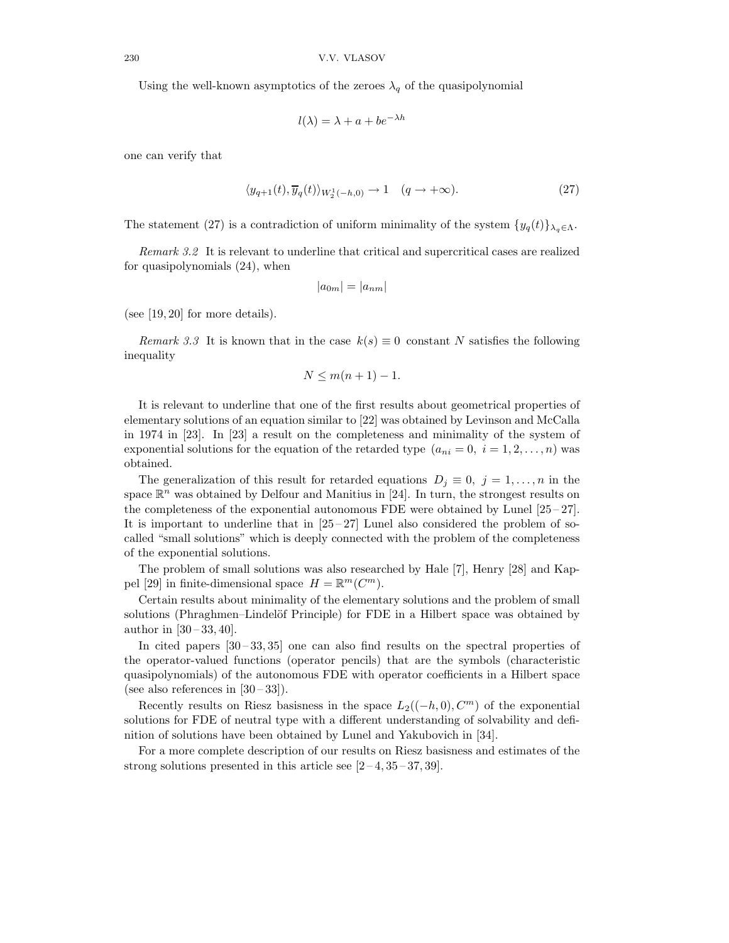Using the well-known asymptotics of the zeroes  $\lambda_q$  of the quasipolynomial

$$
l(\lambda) = \lambda + a + be^{-\lambda h}
$$

one can verify that

$$
\langle y_{q+1}(t), \overline{y}_q(t) \rangle_{W_2^1(-h,0)} \to 1 \quad (q \to +\infty). \tag{27}
$$

The statement (27) is a contradiction of uniform minimality of the system  $\{y_q(t)\}_{\lambda_q \in \Lambda}$ .

Remark 3.2 It is relevant to underline that critical and supercritical cases are realized for quasipolynomials (24), when

$$
|a_{0m}| = |a_{nm}|
$$

(see [19,20] for more details).

Remark 3.3 It is known that in the case  $k(s) \equiv 0$  constant N satisfies the following inequality

$$
N \le m(n+1) - 1.
$$

It is relevant to underline that one of the first results about geometrical properties of elementary solutions of an equation similar to [22] was obtained by Levinson and McCalla in 1974 in [23]. In [23] a result on the completeness and minimality of the system of exponential solutions for the equation of the retarded type  $(a_{ni} = 0, i = 1, 2, \ldots, n)$  was obtained.

The generalization of this result for retarded equations  $D_j \equiv 0, j = 1, \ldots, n$  in the space  $\mathbb{R}^n$  was obtained by Delfour and Manitius in [24]. In turn, the strongest results on the completeness of the exponential autonomous FDE were obtained by Lunel  $[25-27]$ . It is important to underline that in  $[25-27]$  Lunel also considered the problem of socalled "small solutions" which is deeply connected with the problem of the completeness of the exponential solutions.

The problem of small solutions was also researched by Hale [7], Henry [28] and Kappel [29] in finite-dimensional space  $H = \mathbb{R}^m(C^m)$ .

Certain results about minimality of the elementary solutions and the problem of small solutions (Phraghmen–Lindelöf Principle) for FDE in a Hilbert space was obtained by author in  $[30-33, 40]$ .

In cited papers [30–33,35] one can also find results on the spectral properties of the operator-valued functions (operator pencils) that are the symbols (characteristic quasipolynomials) of the autonomous FDE with operator coefficients in a Hilbert space (see also references in  $[30-33]$ ).

Recently results on Riesz basisness in the space  $L_2((-h, 0), C^m)$  of the exponential solutions for FDE of neutral type with a different understanding of solvability and definition of solutions have been obtained by Lunel and Yakubovich in [34].

For a more complete description of our results on Riesz basisness and estimates of the strong solutions presented in this article see  $[2-4, 35-37, 39]$ .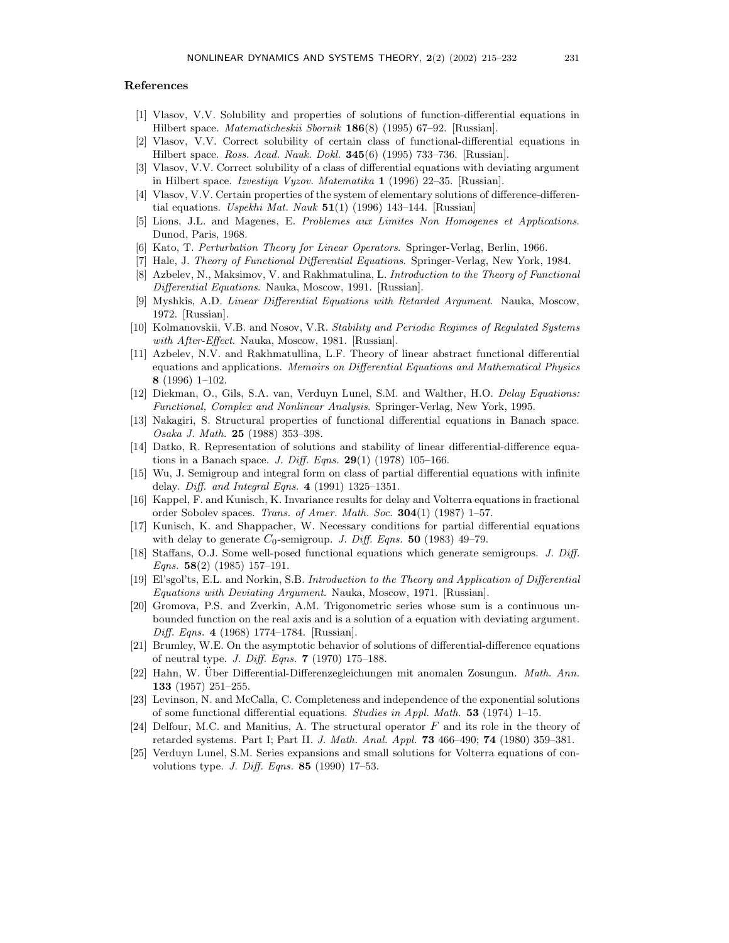# References

- [1] Vlasov, V.V. Solubility and properties of solutions of function-differential equations in Hilbert space. Matematicheskii Sbornik 186(8) (1995) 67–92. [Russian].
- [2] Vlasov, V.V. Correct solubility of certain class of functional-differential equations in Hilbert space. Ross. Acad. Nauk. Dokl. 345(6) (1995) 733–736. [Russian].
- [3] Vlasov, V.V. Correct solubility of a class of differential equations with deviating argument in Hilbert space. Izvestiya Vyzov. Matematika 1 (1996) 22–35. [Russian].
- [4] Vlasov, V.V. Certain properties of the system of elementary solutions of difference-differential equations. Uspekhi Mat. Nauk  $51(1)$  (1996) 143-144. [Russian]
- [5] Lions, J.L. and Magenes, E. Problemes aux Limites Non Homogenes et Applications. Dunod, Paris, 1968.
- [6] Kato, T. Perturbation Theory for Linear Operators. Springer-Verlag, Berlin, 1966.
- [7] Hale, J. Theory of Functional Differential Equations. Springer-Verlag, New York, 1984.
- [8] Azbelev, N., Maksimov, V. and Rakhmatulina, L. Introduction to the Theory of Functional Differential Equations. Nauka, Moscow, 1991. [Russian].
- [9] Myshkis, A.D. Linear Differential Equations with Retarded Argument. Nauka, Moscow, 1972. [Russian].
- [10] Kolmanovskii, V.B. and Nosov, V.R. Stability and Periodic Regimes of Regulated Systems with After-Effect. Nauka, Moscow, 1981. [Russian].
- [11] Azbelev, N.V. and Rakhmatullina, L.F. Theory of linear abstract functional differential equations and applications. Memoirs on Differential Equations and Mathematical Physics 8 (1996) 1–102.
- [12] Diekman, O., Gils, S.A. van, Verduyn Lunel, S.M. and Walther, H.O. Delay Equations: Functional, Complex and Nonlinear Analysis. Springer-Verlag, New York, 1995.
- [13] Nakagiri, S. Structural properties of functional differential equations in Banach space. Osaka J. Math. 25 (1988) 353–398.
- [14] Datko, R. Representation of solutions and stability of linear differential-difference equations in a Banach space. J. Diff. Eqns.  $29(1)$  (1978) 105-166.
- [15] Wu, J. Semigroup and integral form on class of partial differential equations with infinite delay. Diff. and Integral Eqns.  $4$  (1991) 1325–1351.
- [16] Kappel, F. and Kunisch, K. Invariance results for delay and Volterra equations in fractional order Sobolev spaces. Trans. of Amer. Math. Soc.  $304(1)$  (1987) 1–57.
- [17] Kunisch, K. and Shappacher, W. Necessary conditions for partial differential equations with delay to generate  $C_0$ -semigroup. J. Diff. Eqns. 50 (1983) 49–79.
- [18] Staffans, O.J. Some well-posed functional equations which generate semigroups. J. Diff. Eqns.  $58(2)$  (1985) 157-191.
- [19] El'sgol'ts, E.L. and Norkin, S.B. Introduction to the Theory and Application of Differential Equations with Deviating Argument. Nauka, Moscow, 1971. [Russian].
- [20] Gromova, P.S. and Zverkin, A.M. Trigonometric series whose sum is a continuous unbounded function on the real axis and is a solution of a equation with deviating argument. Diff. Eqns. 4 (1968) 1774–1784. [Russian].
- [21] Brumley, W.E. On the asymptotic behavior of solutions of differential-difference equations of neutral type. J. Diff. Eqns. 7 (1970) 175–188.
- [22] Hahn, W. Über Differential-Differenzegleichungen mit anomalen Zosungun. Math. Ann. 133 (1957) 251–255.
- [23] Levinson, N. and McCalla, C. Completeness and independence of the exponential solutions of some functional differential equations. Studies in Appl. Math.  $53$  (1974) 1–15.
- [24] Delfour, M.C. and Manitius, A. The structural operator  $F$  and its role in the theory of retarded systems. Part I; Part II. J. Math. Anal. Appl. 73 466–490; 74 (1980) 359–381.
- [25] Verduyn Lunel, S.M. Series expansions and small solutions for Volterra equations of convolutions type. J. Diff. Eqns. 85 (1990) 17–53.